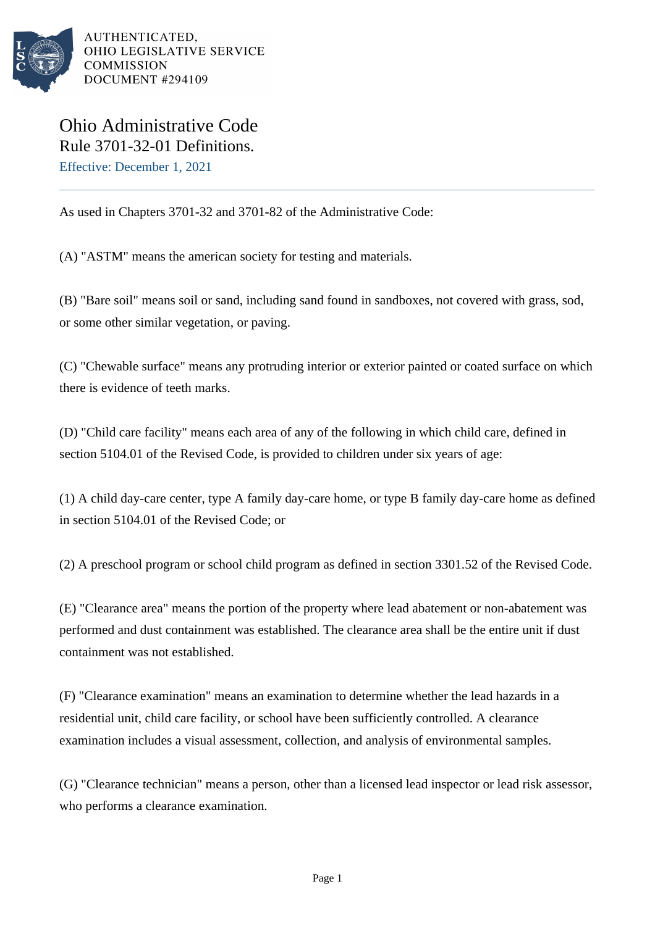

Ohio Administrative Code Rule 3701-32-01 Definitions. Effective: December 1, 2021

As used in Chapters 3701-32 and 3701-82 of the Administrative Code:

(A) "ASTM" means the american society for testing and materials.

(B) "Bare soil" means soil or sand, including sand found in sandboxes, not covered with grass, sod, or some other similar vegetation, or paving.

(C) "Chewable surface" means any protruding interior or exterior painted or coated surface on which there is evidence of teeth marks.

(D) "Child care facility" means each area of any of the following in which child care, defined in section 5104.01 of the Revised Code, is provided to children under six years of age:

(1) A child day-care center, type A family day-care home, or type B family day-care home as defined in section 5104.01 of the Revised Code; or

(2) A preschool program or school child program as defined in section 3301.52 of the Revised Code.

(E) "Clearance area" means the portion of the property where lead abatement or non-abatement was performed and dust containment was established. The clearance area shall be the entire unit if dust containment was not established.

(F) "Clearance examination" means an examination to determine whether the lead hazards in a residential unit, child care facility, or school have been sufficiently controlled. A clearance examination includes a visual assessment, collection, and analysis of environmental samples.

(G) "Clearance technician" means a person, other than a licensed lead inspector or lead risk assessor, who performs a clearance examination.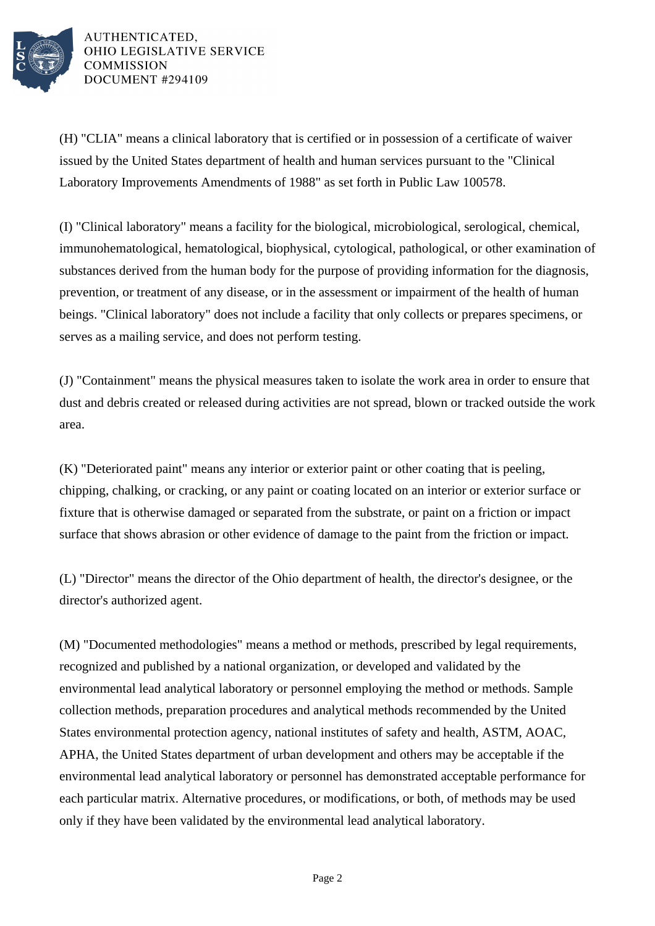

(H) "CLIA" means a clinical laboratory that is certified or in possession of a certificate of waiver issued by the United States department of health and human services pursuant to the "Clinical Laboratory Improvements Amendments of 1988" as set forth in Public Law 100578.

(I) "Clinical laboratory" means a facility for the biological, microbiological, serological, chemical, immunohematological, hematological, biophysical, cytological, pathological, or other examination of substances derived from the human body for the purpose of providing information for the diagnosis, prevention, or treatment of any disease, or in the assessment or impairment of the health of human beings. "Clinical laboratory" does not include a facility that only collects or prepares specimens, or serves as a mailing service, and does not perform testing.

(J) "Containment" means the physical measures taken to isolate the work area in order to ensure that dust and debris created or released during activities are not spread, blown or tracked outside the work area.

(K) "Deteriorated paint" means any interior or exterior paint or other coating that is peeling, chipping, chalking, or cracking, or any paint or coating located on an interior or exterior surface or fixture that is otherwise damaged or separated from the substrate, or paint on a friction or impact surface that shows abrasion or other evidence of damage to the paint from the friction or impact.

(L) "Director" means the director of the Ohio department of health, the director's designee, or the director's authorized agent.

(M) "Documented methodologies" means a method or methods, prescribed by legal requirements, recognized and published by a national organization, or developed and validated by the environmental lead analytical laboratory or personnel employing the method or methods. Sample collection methods, preparation procedures and analytical methods recommended by the United States environmental protection agency, national institutes of safety and health, ASTM, AOAC, APHA, the United States department of urban development and others may be acceptable if the environmental lead analytical laboratory or personnel has demonstrated acceptable performance for each particular matrix. Alternative procedures, or modifications, or both, of methods may be used only if they have been validated by the environmental lead analytical laboratory.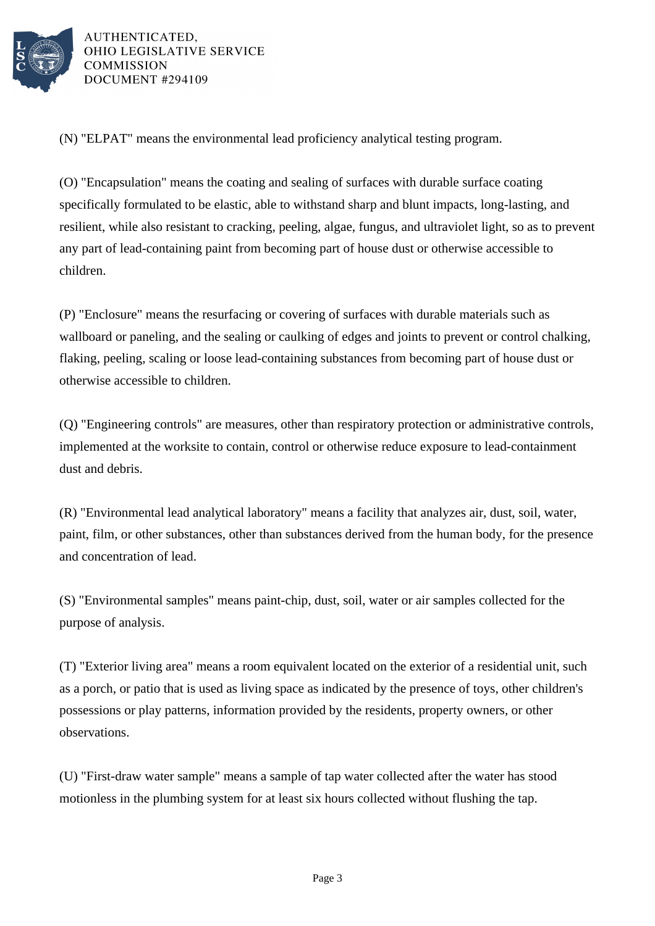

(N) "ELPAT" means the environmental lead proficiency analytical testing program.

(O) "Encapsulation" means the coating and sealing of surfaces with durable surface coating specifically formulated to be elastic, able to withstand sharp and blunt impacts, long-lasting, and resilient, while also resistant to cracking, peeling, algae, fungus, and ultraviolet light, so as to prevent any part of lead-containing paint from becoming part of house dust or otherwise accessible to children.

(P) "Enclosure" means the resurfacing or covering of surfaces with durable materials such as wallboard or paneling, and the sealing or caulking of edges and joints to prevent or control chalking, flaking, peeling, scaling or loose lead-containing substances from becoming part of house dust or otherwise accessible to children.

(Q) "Engineering controls" are measures, other than respiratory protection or administrative controls, implemented at the worksite to contain, control or otherwise reduce exposure to lead-containment dust and debris.

(R) "Environmental lead analytical laboratory" means a facility that analyzes air, dust, soil, water, paint, film, or other substances, other than substances derived from the human body, for the presence and concentration of lead.

(S) "Environmental samples" means paint-chip, dust, soil, water or air samples collected for the purpose of analysis.

(T) "Exterior living area" means a room equivalent located on the exterior of a residential unit, such as a porch, or patio that is used as living space as indicated by the presence of toys, other children's possessions or play patterns, information provided by the residents, property owners, or other observations.

(U) "First-draw water sample" means a sample of tap water collected after the water has stood motionless in the plumbing system for at least six hours collected without flushing the tap.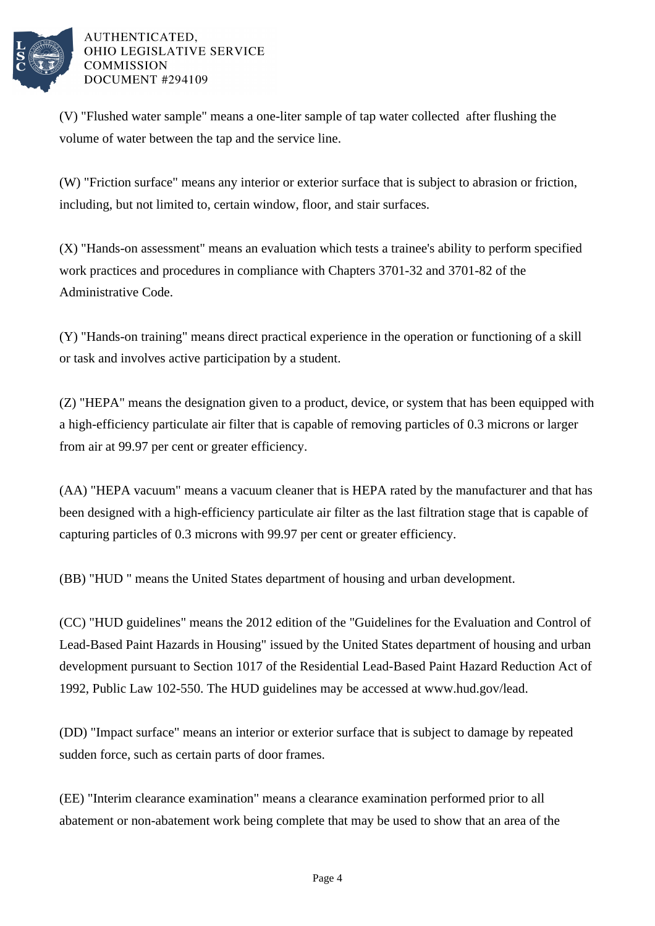

(V) "Flushed water sample" means a one-liter sample of tap water collected after flushing the volume of water between the tap and the service line.

(W) "Friction surface" means any interior or exterior surface that is subject to abrasion or friction, including, but not limited to, certain window, floor, and stair surfaces.

(X) "Hands-on assessment" means an evaluation which tests a trainee's ability to perform specified work practices and procedures in compliance with Chapters 3701-32 and 3701-82 of the Administrative Code.

(Y) "Hands-on training" means direct practical experience in the operation or functioning of a skill or task and involves active participation by a student.

(Z) "HEPA" means the designation given to a product, device, or system that has been equipped with a high-efficiency particulate air filter that is capable of removing particles of 0.3 microns or larger from air at 99.97 per cent or greater efficiency.

(AA) "HEPA vacuum" means a vacuum cleaner that is HEPA rated by the manufacturer and that has been designed with a high-efficiency particulate air filter as the last filtration stage that is capable of capturing particles of 0.3 microns with 99.97 per cent or greater efficiency.

(BB) "HUD " means the United States department of housing and urban development.

(CC) "HUD guidelines" means the 2012 edition of the "Guidelines for the Evaluation and Control of Lead-Based Paint Hazards in Housing" issued by the United States department of housing and urban development pursuant to Section 1017 of the Residential Lead-Based Paint Hazard Reduction Act of 1992, Public Law 102-550. The HUD guidelines may be accessed at www.hud.gov/lead.

(DD) "Impact surface" means an interior or exterior surface that is subject to damage by repeated sudden force, such as certain parts of door frames.

(EE) "Interim clearance examination" means a clearance examination performed prior to all abatement or non-abatement work being complete that may be used to show that an area of the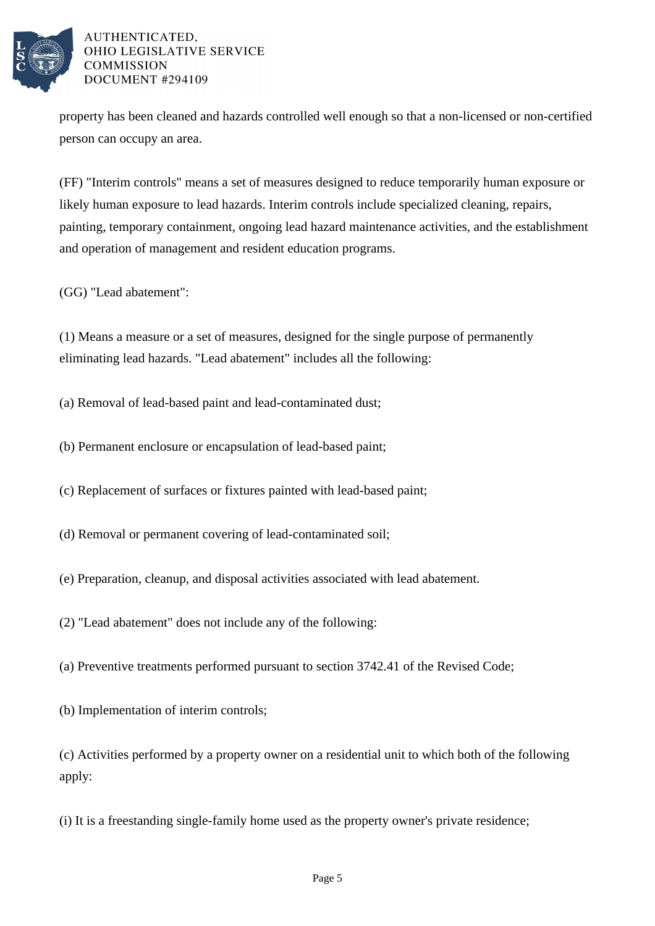

property has been cleaned and hazards controlled well enough so that a non-licensed or non-certified person can occupy an area.

(FF) "Interim controls" means a set of measures designed to reduce temporarily human exposure or likely human exposure to lead hazards. Interim controls include specialized cleaning, repairs, painting, temporary containment, ongoing lead hazard maintenance activities, and the establishment and operation of management and resident education programs.

(GG) "Lead abatement":

(1) Means a measure or a set of measures, designed for the single purpose of permanently eliminating lead hazards. "Lead abatement" includes all the following:

(a) Removal of lead-based paint and lead-contaminated dust;

(b) Permanent enclosure or encapsulation of lead-based paint;

(c) Replacement of surfaces or fixtures painted with lead-based paint;

(d) Removal or permanent covering of lead-contaminated soil;

(e) Preparation, cleanup, and disposal activities associated with lead abatement.

(2) "Lead abatement" does not include any of the following:

(a) Preventive treatments performed pursuant to section 3742.41 of the Revised Code;

(b) Implementation of interim controls;

(c) Activities performed by a property owner on a residential unit to which both of the following apply:

(i) It is a freestanding single-family home used as the property owner's private residence;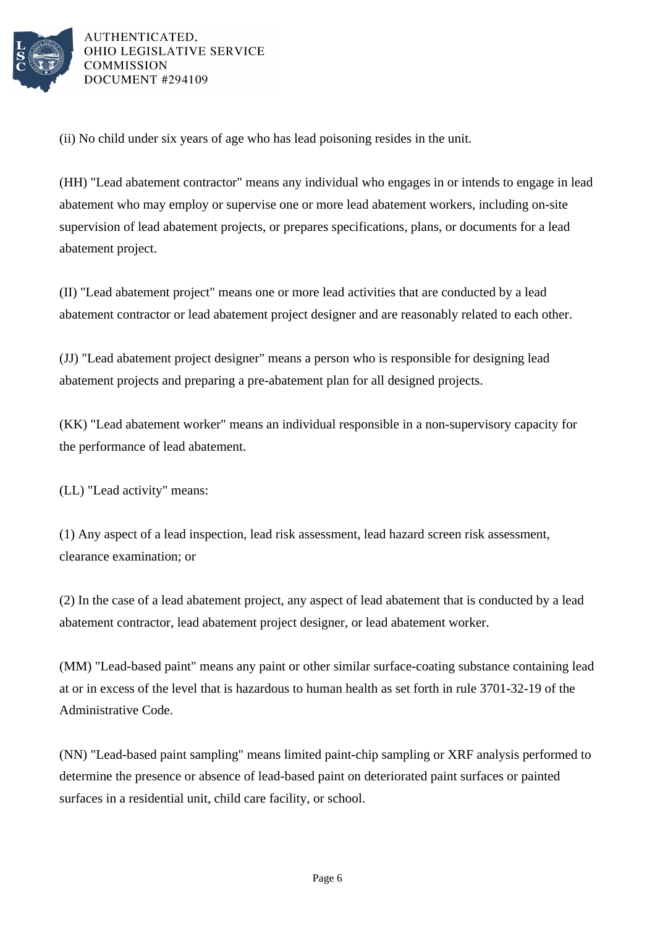

(ii) No child under six years of age who has lead poisoning resides in the unit.

(HH) "Lead abatement contractor" means any individual who engages in or intends to engage in lead abatement who may employ or supervise one or more lead abatement workers, including on-site supervision of lead abatement projects, or prepares specifications, plans, or documents for a lead abatement project.

(II) "Lead abatement project" means one or more lead activities that are conducted by a lead abatement contractor or lead abatement project designer and are reasonably related to each other.

(JJ) "Lead abatement project designer" means a person who is responsible for designing lead abatement projects and preparing a pre-abatement plan for all designed projects.

(KK) "Lead abatement worker" means an individual responsible in a non-supervisory capacity for the performance of lead abatement.

(LL) "Lead activity" means:

(1) Any aspect of a lead inspection, lead risk assessment, lead hazard screen risk assessment, clearance examination; or

(2) In the case of a lead abatement project, any aspect of lead abatement that is conducted by a lead abatement contractor, lead abatement project designer, or lead abatement worker.

(MM) "Lead-based paint" means any paint or other similar surface-coating substance containing lead at or in excess of the level that is hazardous to human health as set forth in rule 3701-32-19 of the Administrative Code.

(NN) "Lead-based paint sampling" means limited paint-chip sampling or XRF analysis performed to determine the presence or absence of lead-based paint on deteriorated paint surfaces or painted surfaces in a residential unit, child care facility, or school.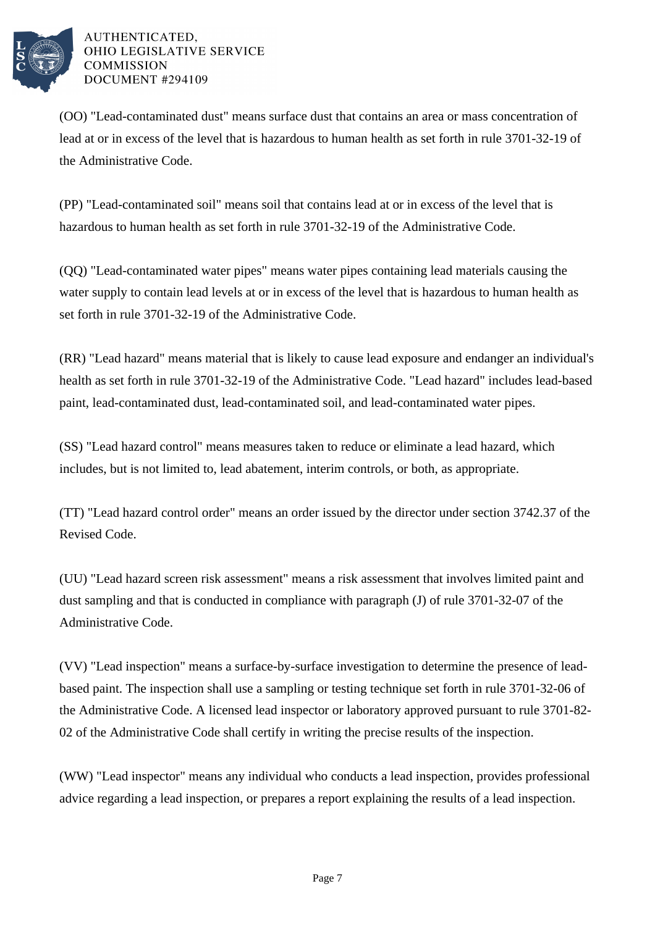

(OO) "Lead-contaminated dust" means surface dust that contains an area or mass concentration of lead at or in excess of the level that is hazardous to human health as set forth in rule 3701-32-19 of the Administrative Code.

(PP) "Lead-contaminated soil" means soil that contains lead at or in excess of the level that is hazardous to human health as set forth in rule 3701-32-19 of the Administrative Code.

(QQ) "Lead-contaminated water pipes" means water pipes containing lead materials causing the water supply to contain lead levels at or in excess of the level that is hazardous to human health as set forth in rule 3701-32-19 of the Administrative Code.

(RR) "Lead hazard" means material that is likely to cause lead exposure and endanger an individual's health as set forth in rule 3701-32-19 of the Administrative Code. "Lead hazard" includes lead-based paint, lead-contaminated dust, lead-contaminated soil, and lead-contaminated water pipes.

(SS) "Lead hazard control" means measures taken to reduce or eliminate a lead hazard, which includes, but is not limited to, lead abatement, interim controls, or both, as appropriate.

(TT) "Lead hazard control order" means an order issued by the director under section 3742.37 of the Revised Code.

(UU) "Lead hazard screen risk assessment" means a risk assessment that involves limited paint and dust sampling and that is conducted in compliance with paragraph (J) of rule 3701-32-07 of the Administrative Code.

(VV) "Lead inspection" means a surface-by-surface investigation to determine the presence of leadbased paint. The inspection shall use a sampling or testing technique set forth in rule 3701-32-06 of the Administrative Code. A licensed lead inspector or laboratory approved pursuant to rule 3701-82- 02 of the Administrative Code shall certify in writing the precise results of the inspection.

(WW) "Lead inspector" means any individual who conducts a lead inspection, provides professional advice regarding a lead inspection, or prepares a report explaining the results of a lead inspection.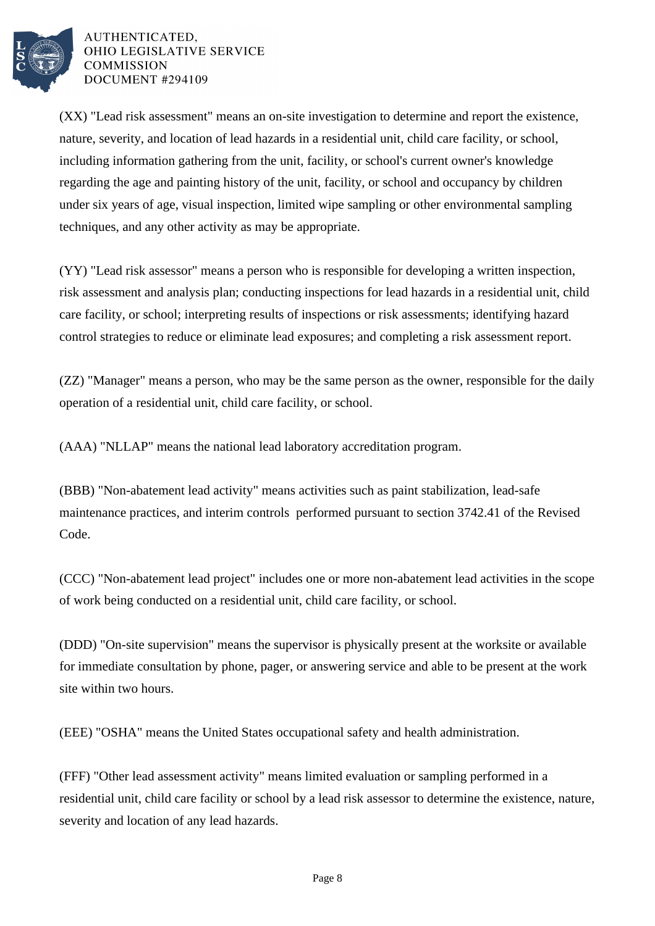

(XX) "Lead risk assessment" means an on-site investigation to determine and report the existence, nature, severity, and location of lead hazards in a residential unit, child care facility, or school, including information gathering from the unit, facility, or school's current owner's knowledge regarding the age and painting history of the unit, facility, or school and occupancy by children under six years of age, visual inspection, limited wipe sampling or other environmental sampling techniques, and any other activity as may be appropriate.

(YY) "Lead risk assessor" means a person who is responsible for developing a written inspection, risk assessment and analysis plan; conducting inspections for lead hazards in a residential unit, child care facility, or school; interpreting results of inspections or risk assessments; identifying hazard control strategies to reduce or eliminate lead exposures; and completing a risk assessment report.

(ZZ) "Manager" means a person, who may be the same person as the owner, responsible for the daily operation of a residential unit, child care facility, or school.

(AAA) "NLLAP" means the national lead laboratory accreditation program.

(BBB) "Non-abatement lead activity" means activities such as paint stabilization, lead-safe maintenance practices, and interim controls performed pursuant to section 3742.41 of the Revised Code.

(CCC) "Non-abatement lead project" includes one or more non-abatement lead activities in the scope of work being conducted on a residential unit, child care facility, or school.

(DDD) "On-site supervision" means the supervisor is physically present at the worksite or available for immediate consultation by phone, pager, or answering service and able to be present at the work site within two hours.

(EEE) "OSHA" means the United States occupational safety and health administration.

(FFF) "Other lead assessment activity" means limited evaluation or sampling performed in a residential unit, child care facility or school by a lead risk assessor to determine the existence, nature, severity and location of any lead hazards.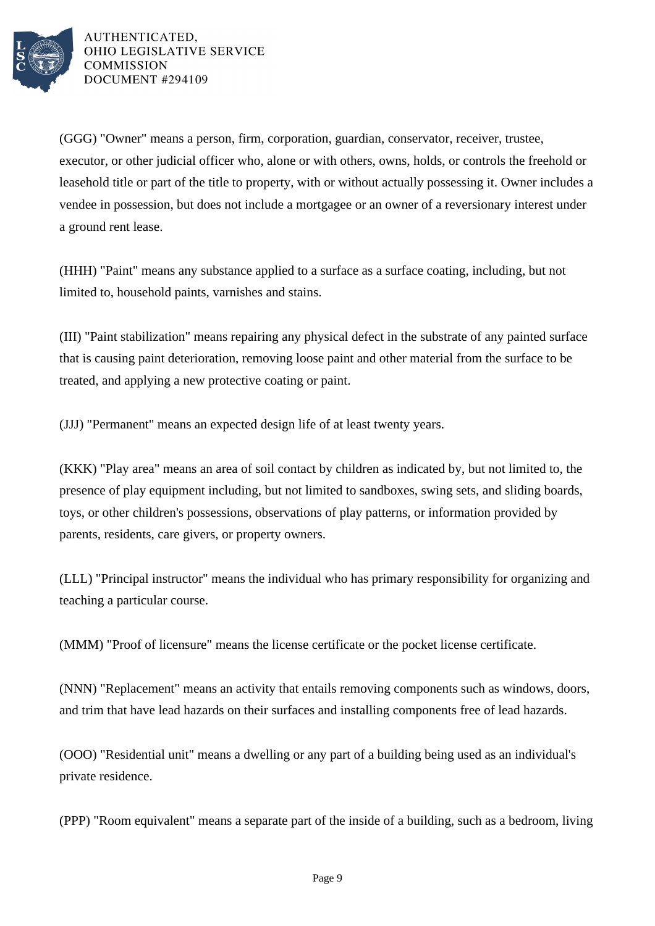

(GGG) "Owner" means a person, firm, corporation, guardian, conservator, receiver, trustee, executor, or other judicial officer who, alone or with others, owns, holds, or controls the freehold or leasehold title or part of the title to property, with or without actually possessing it. Owner includes a vendee in possession, but does not include a mortgagee or an owner of a reversionary interest under a ground rent lease.

(HHH) "Paint" means any substance applied to a surface as a surface coating, including, but not limited to, household paints, varnishes and stains.

(III) "Paint stabilization" means repairing any physical defect in the substrate of any painted surface that is causing paint deterioration, removing loose paint and other material from the surface to be treated, and applying a new protective coating or paint.

(JJJ) "Permanent" means an expected design life of at least twenty years.

(KKK) "Play area" means an area of soil contact by children as indicated by, but not limited to, the presence of play equipment including, but not limited to sandboxes, swing sets, and sliding boards, toys, or other children's possessions, observations of play patterns, or information provided by parents, residents, care givers, or property owners.

(LLL) "Principal instructor" means the individual who has primary responsibility for organizing and teaching a particular course.

(MMM) "Proof of licensure" means the license certificate or the pocket license certificate.

(NNN) "Replacement" means an activity that entails removing components such as windows, doors, and trim that have lead hazards on their surfaces and installing components free of lead hazards.

(OOO) "Residential unit" means a dwelling or any part of a building being used as an individual's private residence.

(PPP) "Room equivalent" means a separate part of the inside of a building, such as a bedroom, living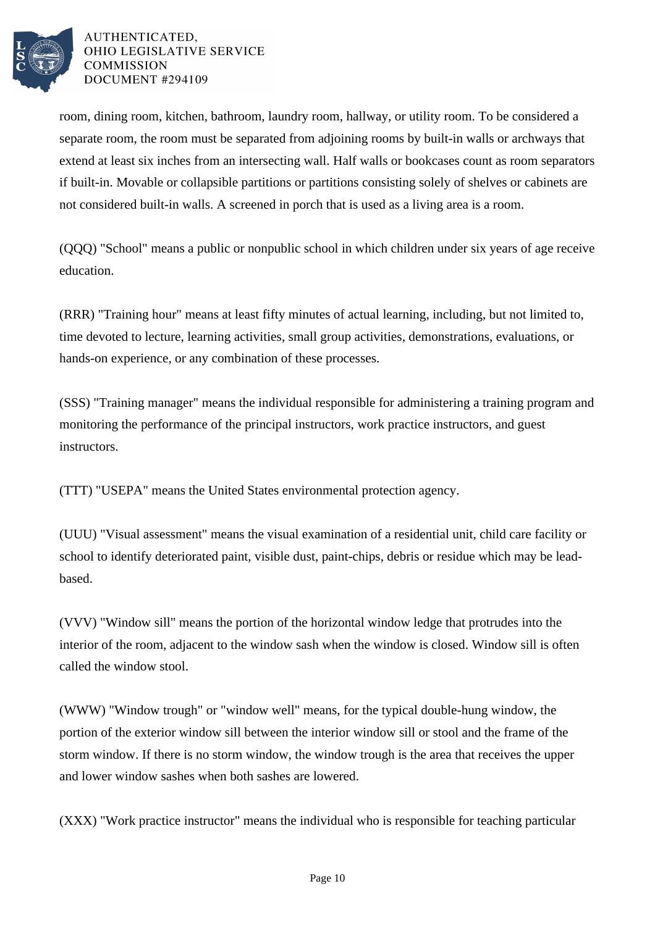

room, dining room, kitchen, bathroom, laundry room, hallway, or utility room. To be considered a separate room, the room must be separated from adjoining rooms by built-in walls or archways that extend at least six inches from an intersecting wall. Half walls or bookcases count as room separators if built-in. Movable or collapsible partitions or partitions consisting solely of shelves or cabinets are not considered built-in walls. A screened in porch that is used as a living area is a room.

(QQQ) "School" means a public or nonpublic school in which children under six years of age receive education.

(RRR) "Training hour" means at least fifty minutes of actual learning, including, but not limited to, time devoted to lecture, learning activities, small group activities, demonstrations, evaluations, or hands-on experience, or any combination of these processes.

(SSS) "Training manager" means the individual responsible for administering a training program and monitoring the performance of the principal instructors, work practice instructors, and guest instructors.

(TTT) "USEPA" means the United States environmental protection agency.

(UUU) "Visual assessment" means the visual examination of a residential unit, child care facility or school to identify deteriorated paint, visible dust, paint-chips, debris or residue which may be leadbased.

(VVV) "Window sill" means the portion of the horizontal window ledge that protrudes into the interior of the room, adjacent to the window sash when the window is closed. Window sill is often called the window stool.

(WWW) "Window trough" or "window well" means, for the typical double-hung window, the portion of the exterior window sill between the interior window sill or stool and the frame of the storm window. If there is no storm window, the window trough is the area that receives the upper and lower window sashes when both sashes are lowered.

(XXX) "Work practice instructor" means the individual who is responsible for teaching particular